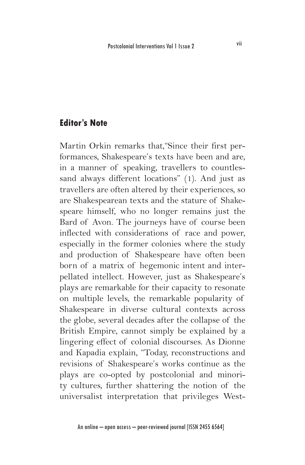## **Editor's Note**

Martin Orkin remarks that,"Since their first performances, Shakespeare's texts have been and are, in a manner of speaking, travellers to countlessand always different locations" (1). And just as travellers are often altered by their experiences, so are Shakespearean texts and the stature of Shakespeare himself, who no longer remains just the Bard of Avon. The journeys have of course been inflected with considerations of race and power, especially in the former colonies where the study and production of Shakespeare have often been born of a matrix of hegemonic intent and interpellated intellect. However, just as Shakespeare's plays are remarkable for their capacity to resonate on multiple levels, the remarkable popularity of Shakespeare in diverse cultural contexts across the globe, several decades after the collapse of the British Empire, cannot simply be explained by a lingering effect of colonial discourses. As Dionne and Kapadia explain, "Today, reconstructions and revisions of Shakespeare's works continue as the plays are co-opted by postcolonial and minority cultures, further shattering the notion of the universalist interpretation that privileges West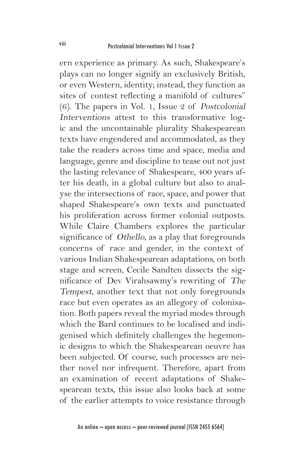ern experience as primary. As such, Shakespeare's plays can no longer signify an exclusively British, or even Western, identity; instead, they function as sites of contest reflecting a manifold of cultures" (6). The papers in Vol. 1, Issue 2 of Postcolonial Interventions attest to this transformative logic and the uncontainable plurality Shakespearean texts have engendered and accommodated, as they take the readers across time and space, media and language, genre and discipline to tease out not just the lasting relevance of Shakespeare, 400 years after his death, in a global culture but also to analyse the intersections of race, space, and power that shaped Shakespeare's own texts and punctuated his proliferation across former colonial outposts. While Claire Chambers explores the particular significance of Othello, as a play that foregrounds concerns of race and gender, in the context of various Indian Shakespearean adaptations, on both stage and screen, Cecile Sandten dissects the significance of Dev Virahsawmy's rewriting of The Tempest, another text that not only foregrounds race but even operates as an allegory of colonisation. Both papers reveal the myriad modes through which the Bard continues to be localised and indigenised which definitely challenges the hegemonic designs to which the Shakespearean oeuvre has been subjected. Of course, such processes are neither novel nor infrequent. Therefore, apart from an examination of recent adaptations of Shakespearean texts, this issue also looks back at some of the earlier attempts to voice resistance through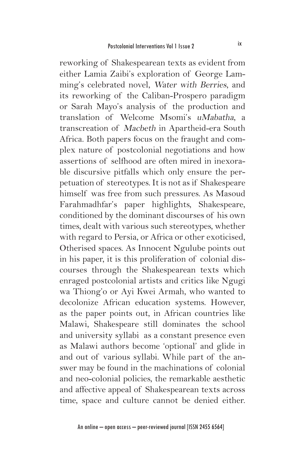reworking of Shakespearean texts as evident from either Lamia Zaibi's exploration of George Lamming's celebrated novel, Water with Berries, and its reworking of the Caliban-Prospero paradigm or Sarah Mayo's analysis of the production and translation of Welcome Msomi's uMabatha, a transcreation of Macbeth in Apartheid-era South Africa. Both papers focus on the fraught and complex nature of postcolonial negotiations and how assertions of selfhood are often mired in inexorable discursive pitfalls which only ensure the perpetuation of stereotypes. It is not as if Shakespeare himself was free from such pressures. As Masoud Farahmadhfar's paper highlights, Shakespeare, conditioned by the dominant discourses of his own times, dealt with various such stereotypes, whether with regard to Persia, or Africa or other exoticised, Otherised spaces. As Innocent Ngulube points out in his paper, it is this proliferation of colonial discourses through the Shakespearean texts which enraged postcolonial artists and critics like Ngugi wa Thiong'o or Ayi Kwei Armah, who wanted to decolonize African education systems. However, as the paper points out, in African countries like Malawi, Shakespeare still dominates the school and university syllabi as a constant presence even as Malawi authors become 'optional' and glide in and out of various syllabi. While part of the answer may be found in the machinations of colonial and neo-colonial policies, the remarkable aesthetic and affective appeal of Shakespearean texts across time, space and culture cannot be denied either.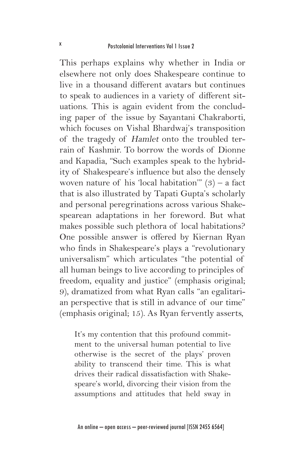This perhaps explains why whether in India or elsewhere not only does Shakespeare continue to live in a thousand different avatars but continues to speak to audiences in a variety of different situations. This is again evident from the concluding paper of the issue by Sayantani Chakraborti, which focuses on Vishal Bhardwaj's transposition of the tragedy of Hamlet onto the troubled terrain of Kashmir. To borrow the words of Dionne and Kapadia, "Such examples speak to the hybridity of Shakespeare's influence but also the densely woven nature of his 'local habitation'"  $(3)$  – a fact that is also illustrated by Tapati Gupta's scholarly and personal peregrinations across various Shakespearean adaptations in her foreword. But what makes possible such plethora of local habitations? One possible answer is offered by Kiernan Ryan who finds in Shakespeare's plays a "revolutionary universalism" which articulates "the potential of all human beings to live according to principles of freedom, equality and justice" (emphasis original; 9), dramatized from what Ryan calls "an egalitarian perspective that is still in advance of our time" (emphasis original; 15). As Ryan fervently asserts,

It's my contention that this profound commitment to the universal human potential to live otherwise is the secret of the plays' proven ability to transcend their time. This is what drives their radical dissatisfaction with Shakespeare's world, divorcing their vision from the assumptions and attitudes that held sway in

An online – open access – peer-reviewed journal [ISSN 2455 6564]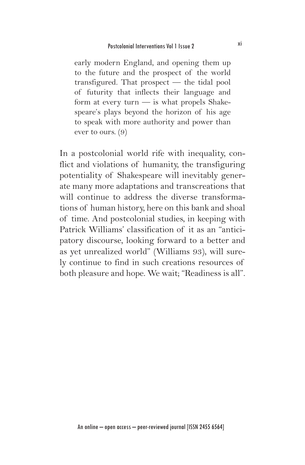early modern England, and opening them up to the future and the prospect of the world transfigured. That prospect — the tidal pool of futurity that inflects their language and form at every turn — is what propels Shakespeare's plays beyond the horizon of his age to speak with more authority and power than ever to ours. (9)

In a postcolonial world rife with inequality, conflict and violations of humanity, the transfiguring potentiality of Shakespeare will inevitably generate many more adaptations and transcreations that will continue to address the diverse transformations of human history, here on this bank and shoal of time. And postcolonial studies, in keeping with Patrick Williams' classification of it as an "anticipatory discourse, looking forward to a better and as yet unrealized world" (Williams 93), will surely continue to find in such creations resources of both pleasure and hope. We wait; "Readiness is all".